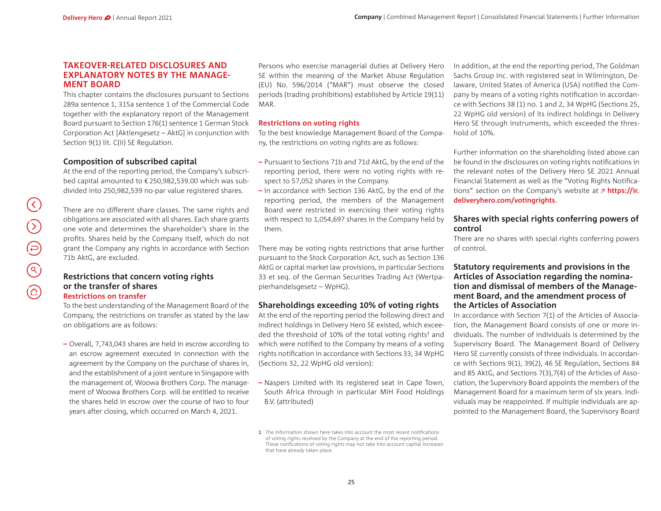#### **TAKEOVER-RELATED DISCLOSURES AND EXPLANATORY NOTES BY THE MANAGE-MENT BOARD**

This chapter contains the disclosures pursuant to Sections 289a sentence 1, 315a sentence 1 of the Commercial Code together with the explanatory report of the Management Board pursuant to Section 176(1) sentence 1 German Stock Corporation Act [Aktiengesetz – AktG] in conjunction with Section 9(1) lit. C(ii) SE Regulation.

## **Composition of subscribed capital**

At the end of the reporting period, the Company's subscribed capital amounted to €250,982,539.00 which was subdivided into 250,982,539 no-par value registered shares.

There are no different share classes. The same rights and obligations are associated with all shares. Each share grants one vote and determines the shareholder's share in the profits. Shares held by the Company itself, which do not grant the Company any rights in accordance with Section 71b AktG, are excluded.

#### **Restrictions that concern voting rights or the transfer of sharesRestrictions on transfer**

To the best understanding of the Management Board of the Company, the restrictions on transfer as stated by the law on obligations are as follows:

**–** Overall, 7,743,043 shares are held in escrow according to an escrow agreement executed in connection with the agreement by the Company on the purchase of shares in, and the establishment of a joint venture in Singapore with the management of, Woowa Brothers Corp. The management of Woowa Brothers Corp. will be entitled to receive the shares held in escrow over the course of two to four years after closing, which occurred on March 4, 2021.

Persons who exercise managerial duties at Delivery Hero SE within the meaning of the Market Abuse Regulation (EU) No. 596/2014 ("MAR") must observe the closed periods (trading prohibitions) established by Article 19(11) MAR.

#### **Restrictions on voting rights**

To the best knowledge Management Board of the Company, the restrictions on voting rights are as follows:

- **–** Pursuant to Sections 71b and 71d AktG, by the end of the reporting period, there were no voting rights with respect to 57,052 shares in the Company.
- **–** In accordance with Section 136 AktG, by the end of the reporting period, the members of the Management Board were restricted in exercising their voting rights with respect to <sup>1</sup>,054,697 shares in the Company held by them.

There may be voting rights restrictions that arise further pursuant to the Stock Corporation Act, such as Section 136 AktG or capital market law provisions, in particular Sections 33 et seq. of the German Securities Trading Act (Wertpapierhandelsgesetz – WpHG).

#### **Shareholdings exceeding 10% of voting rights**

At the end of the reporting period the following direct and indirect holdings in Delivery Hero SE existed, which exceeded the threshold of 10% of the total voting rights<sup>1</sup> and which were notified to the Company by means of a voting rights notification in accordance with Sections 33, 34 WpHG (Sections 32, <sup>22</sup> WpHG old version):

**–** Naspers Limited with its registered seat in Cape Town, South Africa through in particular MIH Food Holdings B.V. (attributed)

**1** The information shown here takes into account the most recent notifications of voting rights received by the Company at the end of the reporting period. These notifications of voting rights may not take into account capital increases that have already taken place.

In addition, at the end the reporting period, The Goldman Sachs Group Inc. with registered seat in Wilmington, Delaware, United States of America (USA) notified the Company by means of a voting rights notification in accordance with Sections 38 (1) no. 1 and 2, <sup>34</sup> WpHG (Sections <sup>25</sup>, <sup>22</sup> WpHG old version) of its indirect holdings in Delivery Hero SE through instruments, which exceeded the threshold of 10%.

Further information on the shareholding listed above can be found in the disclosures on voting rights notifications in the relevant notes of the Delivery Hero SE 2021 Annual Financial Statement as well as the "Voting Rights Notifications" section on the Company's website at **https://ir. deliveryhero.com/votingrights.**

### **Shares with special rights conferring powers of control**

There are no shares with special rights conferring powers of control.

### **Statutory requirements and provisions in the Articles of Association regarding the nomination and dismissal of members of the Management Board, and the amendment process of the Articles of Association**

In accordance with Section 7(1) of the Articles of Association, the Management Board consists of one or more individuals. The number of individuals is determined by the Supervisory Board. The Management Board of Delivery Hero SE currently consists of three individuals. In accordance with Sections 9(1), 39(2), 46 SE Regulation, Sections <sup>84</sup> and 85 AktG, and Sections 7(3),7(4) of the Articles of Association, the Supervisory Board appoints the members of the Management Board for a maximum term of six years. Individuals may be reappointed. If multiple individuals are appointed to the Management Board, the Supervisory Board

 $(\zeta)$ 

 $\bigodot$ 

 $\bigoplus$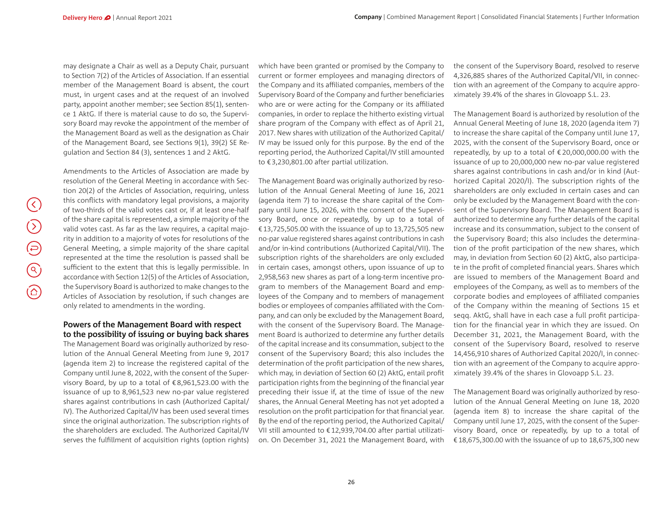may designate a Chair as well as a Deputy Chair, pursuant to Section 7(2) of the Articles of Association. If an essential member of the Management Board is absent, the court must, in urgent cases and at the request of an involved party, appoint another member; see Section 85(1), sentence <sup>1</sup> AktG. If there is material cause to do so, the Supervisory Board may revoke the appointment of the member of the Management Board as well as the designation as Chair of the Management Board, see Sections 9(1), 39(2) SE Regulation and Section 84 (3), sentences 1 and 2 AktG.

Amendments to the Articles of Association are made by resolution of the General Meeting in accordance with Section 20(2) of the Articles of Association, requiring, unless this conflicts with mandatory legal provisions, a majority of two-thirds of the valid votes cast or, if at least one-half of the share capital is represented, a simple majority of the valid votes cast. As far as the law requires, a capital majority in addition to a majority of votes for resolutions of the General Meeting, a simple majority of the share capital represented at the time the resolution is passed shall be sufficient to the extent that this is legally permissible. In accordance with Section 12(5) of the Articles of Association, the Supervisory Board is authorized to make changes to the Articles of Association by resolution, if such changes are only related to amendments in the wording.

## **Powers of the Management Board with respect to the possibility of issuing or buying back shares**

The Management Board was originally authorized by resolution of the Annual General Meeting from June 9, 2017 (agenda item 2) to increase the registered capital of the Company until June 8, 2022, with the consent of the Supervisory Board, by up to a total of €8,961,523.00 with the issuance of up to 8,961,523 new no-par value registered shares against contributions in cash (Authorized Capital/ IV). The Authorized Capital/IV has been used several times since the original authorization. The subscription rights of the shareholders are excluded. The Authorized Capital/IV serves the fulfillment of acquisition rights (option rights)

which have been granted or promised by the Company to current or former employees and managing directors of the Company and its affiliated companies, members of the Supervisory Board of the Company and further beneficiaries who are or were acting for the Company or its affiliated companies, in order to replace the hitherto existing virtual share program of the Company with effect as of April 21, <sup>2017</sup>. New shares with utilization of the Authorized Capital/ IV may be issued only for this purpose. By the end of the reporting period, the Authorized Capital/IV still amounted to €3,230,801.00 after partial utilization.

The Management Board was originally authorized by resolution of the Annual General Meeting of June <sup>16</sup>, <sup>2021</sup> (agenda item 7) to increase the share capital of the Company until June<sup>15</sup>, 2026, with the consent of the Supervisory Board, once or repeatedly, by up to a total of €13,725,505.00 with the issuance of up to 13,725,505 new no-par value registered shares against contributions in cash and/or in-kind contributions (Authorized Capital/VII). The subscription rights of the shareholders are only excluded in certain cases, amongst others, upon issuance of up to <sup>2</sup>,958,<sup>563</sup> new shares as part of a long-term incentive program to members of the Management Board and employees of the Company and to members of management bodies or employees of companies affiliated with the Company, and can only be excluded by the Management Board, with the consent of the Supervisory Board. The Management Board is authorized to determine any further details of the capital increase and its consummation, subject to the consent of the Supervisory Board; this also includes the determination of the profit participation of the new shares, which may, in deviation of Section 60 (2) AktG, entail profit participation rights from the beginning of the financial year preceding their issue if, at the time of issue of the new shares, the Annual General Meeting has not yet adopted a resolution on the profit participation for that financial year. By the end of the reporting period, the Authorized Capital/ VII still amounted to €12,939,704.00 after partial utilization. On December 31, 2021 the Management Board, with the consent of the Supervisory Board, resolved to reserve <sup>4</sup>,326,<sup>885</sup> shares of the Authorized Capital/VII, in connection with an agreement of the Company to acquire approximately 39.<sup>4</sup>% of the shares in Glovoapp S.L. 23.

The Management Board is authorized by resolution of the Annual General Meeting of June <sup>18</sup>, <sup>2020</sup> (agenda item 7) to increase the share capital of the Company until June<sup>17</sup>, <sup>2025</sup>, with the consent of the Supervisory Board, once or repeatedly, by up to a total of  $\epsilon$  20,000,000.00 with the issuance of up to 20,000,000 new no-par value registered shares against contributions in cash and/or in kind (Authorized Capital 2020/I). The subscription rights of the shareholders are only excluded in certain cases and can only be excluded by the Management Board with the consent of the Supervisory Board. The Management Board is authorized to determine any further details of the capital increase and its consummation, subject to the consent of the Supervisory Board; this also includes the determination of the profit participation of the new shares, which may, in deviation from Section 60 (2) AktG, also participate in the profit of completed financial years. Shares which are issued to members of the Management Board and employees of the Company, as well as to members of the corporate bodies and employees of affiliated companies of the Company within the meaning of Sections <sup>15</sup> et segg. AktG, shall have in each case a full profit participation for the financial year in which they are issued. On December 31, 2021, the Management Board, with the consent of the Supervisory Board, resolved to reserve <sup>14</sup>,456,910 shares of Authorized Capital 2020/I, in connection with an agreement of the Company to acquire approximately 39.<sup>4</sup>% of the shares in Glovoapp S.L. 23.

The Management Board was originally authorized by resolution of the Annual General Meeting on June<sup>18</sup>, <sup>2020</sup> (agenda item <sup>8</sup>) to increase the share capital of the Company until June 17, 2025, with the consent of the Supervisory Board, once or repeatedly, by up to a total of €18,675,300.00 with the issuance of up to 18,675,300 new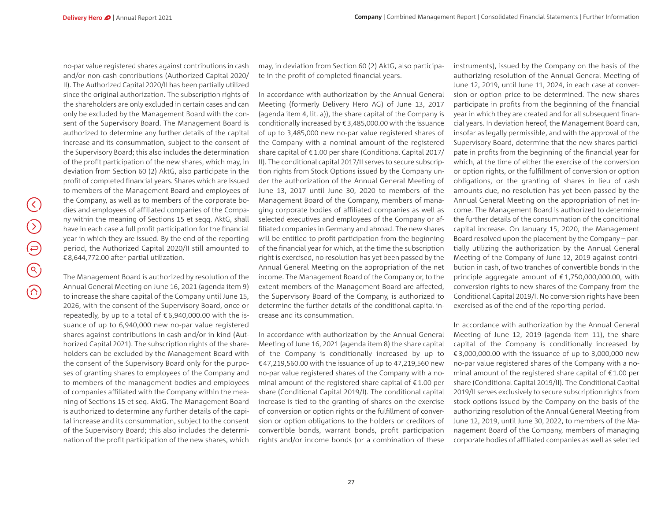no-par value registered shares against contributions in cash and/or non-cash contributions (Authorized Capital 2020/ II). The Authorized Capital 2020/II has been partially utilized since the original authorization. The subscription rights of the shareholders are only excluded in certain cases and can only be excluded by the Management Board with the consent of the Supervisory Board. The Management Board is authorized to determine any further details of the capital increase and its consummation, subject to the consent of the Supervisory Board; this also includes the determination of the profit participation of the new shares, which may, in deviation from Section 60 (2) AktG, also participate in the profit of completed financial years. Shares which are issued to members of the Management Board and employees of the Company, as well as to members of the corporate bodies and employees of affiliated companies of the Company within the meaning of Sections 15 et seqq. AktG, shall have in each case a full profit participation for the financial year in which they are issued. By the end of the reporting period, the Authorized Capital 2020/II still amounted to €8,644,772.00 after partial utilization.

The Management Board is authorized by resolution of the Annual General Meeting on June 16, <sup>2021</sup> (agenda item 9) to increase the share capital of the Company until June<sup>15</sup>, <sup>2026</sup>, with the consent of the Supervisory Board, once or repeatedly, by up to a total of  $\epsilon$  6,940,000.00 with the issuance of up to 6,940,000 new no-par value registered shares against contributions in cash and/or in kind (Authorized Capital 2021). The subscription rights of the shareholders can be excluded by the Management Board with the consent of the Supervisory Board only for the purposes of granting shares to employees of the Company and to members of the management bodies and employees of companies affiliated with the Company within the meaning of Sections 15 et seq. AktG. The Management Board is authorized to determine any further details of the capital increase and its consummation, subject to the consent of the Supervisory Board; this also includes the determination of the profit participation of the new shares, which

may, in deviation from Section 60 (2) AktG, also participate in the profit of completed financial years.

In accordance with authorization by the Annual General Meeting (formerly Delivery Hero AG) of June <sup>13</sup>, <sup>2017</sup> (agenda item<sup>4</sup>, lit. a)), the share capital of the Company is conditionally increased by €3,485,000.00 with the issuance of up to 3,485,000 new no-par value registered shares of the Company with a nominal amount of the registered share capital of €1.<sup>00</sup> per share (Conditional Capital 2017/ II). The conditional capital 2017/II serves to secure subscription rights from Stock Options issued by the Company under the authorization of the Annual General Meeting of June 13, 2017 until June 30, 2020 to members of the Management Board of the Company, members of managing corporate bodies of affiliated companies as well as selected executives and employees of the Company or af filiated companies in Germany and abroad. The new shares will be entitled to profit participation from the beginning of the financial year for which, at the time the subscription right is exercised, no resolution has yet been passed by the Annual General Meeting on the appropriation of the net income. The Management Board of the Company or, to the extent members of the Management Board are affected, the Supervisory Board of the Company, is authorized to determine the further details of the conditional capital increase and its consummation.

In accordance with authorization by the Annual General Meeting of June 16, 2021 (agenda item 8) the share capital of the Company is conditionally increased by up to €47,219,560.00 with the issuance of up to 47,219,560 new no-par value registered shares of the Company with a nominal amount of the registered share capital of €1.00 per share (Conditional Capital 2019/I). The conditional capital increase is tied to the granting of shares on the exercise of conversion or option rights or the fulfillment of conversion or option obligations to the holders or creditors of convertible bonds, warrant bonds, profit participation rights and/or income bonds (or a combination of these

instruments), issued by the Company on the basis of the authorizing resolution of the Annual General Meeting of June 12, 2019, until June 11, 2024, in each case at conversion or option price to be determined. The new shares participate in profits from the beginning of the financial year in which they are created and for all subsequent financial years. In deviation hereof, the Management Board can, insofar as legally permissible, and with the approval of the Supervisory Board, determine that the new shares participate in profits from the beginning of the financial year for which, at the time of either the exercise of the conversion or option rights, or the fulfillment of conversion or option obligations, or the granting of shares in lieu of cash amounts due, no resolution has yet been passed by the Annual General Meeting on the appropriation of net income. The Management Board is authorized to determine the further details of the consummation of the conditional capital increase. On January 15, 2020, the Management Board resolved upon the placement by the Company – partially utilizing the authorization by the Annual General Meeting of the Company of June 12, 2019 against contribution in cash, of two tranches of convertible bonds in the principle aggregate amount of €1,750,000,000.00, with conversion rights to new shares of the Company from the Conditional Capital 2019/I. No conversion rights have been exercised as of the end of the reporting period.

In accordance with authorization by the Annual General Meeting of June <sup>12</sup>, <sup>2019</sup> (agenda item <sup>11</sup>), the share capital of the Company is conditionally increased by €3,000,000.00 with the issuance of up to 3,000,000 new no-par value registered shares of the Company with a nominal amount of the registered share capital of €1.00 per share (Conditional Capital 2019/II). The Conditional Capital <sup>2019</sup>/II serves exclusively to secure subscription rights from stock options issued by the Company on the basis of the authorizing resolution of the Annual General Meeting from June 12, 2019, until June 30, 2022, to members of the Management Board of the Company, members of managing corporate bodies of affiliated companies as well as selected

 $\left(\zeta\right)$ 

 $\circledcirc$ 

 $\bigoplus$ 

 $\bigodot$ 

 $\circledcirc$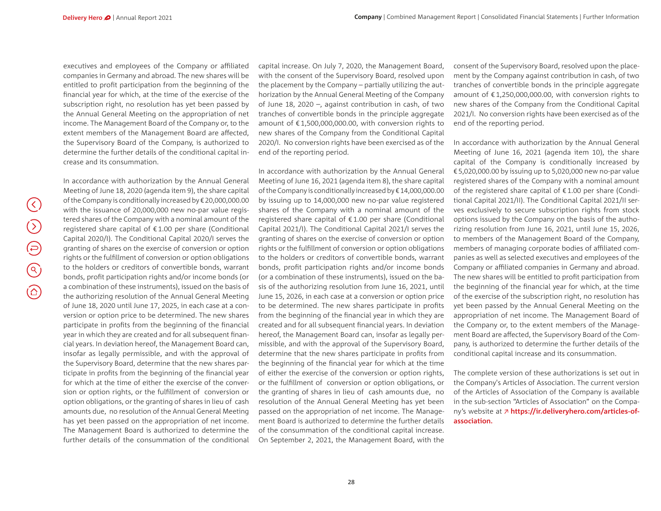executives and employees of the Company or affiliated companies in Germany and abroad. The new shares will be entitled to profit participation from the beginning of the financial year for which, at the time of the exercise of the subscription right, no resolution has yet been passed by the Annual General Meeting on the appropriation of net income. The Management Board of the Company or, to the extent members of the Management Board are affected, the Supervisory Board of the Company, is authorized to determine the further details of the conditional capital increase and its consummation.

In accordance with authorization by the Annual General Meeting of June<sup>18</sup>, <sup>2020</sup> (agenda item 9), the share capital of the Company is conditionally increased by €20,000,000.<sup>00</sup> with the issuance of 20,000,000 new no-par value registered shares of the Company with a nominal amount of the registered share capital of €1.<sup>00</sup> per share (Conditional Capital 2020/I). The Conditional Capital 2020/I serves the granting of shares on the exercise of conversion or option rights or the fulfillment of conversion or option obligations to the holders or creditors of convertible bonds, warrant bonds, profit participation rights and/or income bonds (or a combination of these instruments), issued on the basis of the authorizing resolution of the Annual General Meeting of June 18, 2020 until June 17, 2025, in each case at a conversion or option price to be determined. The new shares participate in profits from the beginning of the financial year in which they are created and for all subsequent financial years. In deviation hereof, the Management Board can, insofar as legally permissible, and with the approval of the Supervisory Board, determine that the new shares participate in profits from the beginning of the financial year for which at the time of either the exercise of the conversion or option rights, or the fulfillment of conversion or option obligations, or the granting of shares in lieu of cash amounts due, no resolution of the Annual General Meeting has yet been passed on the appropriation of net income. The Management Board is authorized to determine the further details of the consummation of the conditional capital increase. On July 7, 2020, the Management Board, with the consent of the Supervisory Board, resolved upon the placement by the Company – partially utilizing the authorization by the Annual General Meeting of the Company of June 18, <sup>2020</sup> –, against contribution in cash, of two tranches of convertible bonds in the principle aggregate amount of €1,500,000,000.00, with conversion rights to new shares of the Company from the Conditional Capital <sup>2020</sup>/I. No conversion rights have been exercised as of the end of the reporting period.

In accordance with authorization by the Annual General Meeting of June 16, 2021 (agenda item 8), the share capital of the Company is conditionally increased by €14,000,000.<sup>00</sup> by issuing up to <sup>14</sup>,000,000 new no-par value registered shares of the Company with a nominal amount of the registered share capital of €1.<sup>00</sup> per share (Conditional Capital 2021/I). The Conditional Capital 2021/I serves the granting of shares on the exercise of conversion or option rights or the fulfillment of conversion or option obligations to the holders or creditors of convertible bonds, warrant bonds, profit participation rights and/or income bonds (or a combination of these instruments), issued on the basis of the authorizing resolution from June 16, 2021, until June 15, 2026, in each case at a conversion or option price to be determined. The new shares participate in profits from the beginning of the financial year in which they are created and for all subsequent financial years. In deviation hereof, the Management Board can, insofar as legally permissible, and with the approval of the Supervisory Board, determine that the new shares participate in profits from the beginning of the financial year for which at the time of either the exercise of the conversion or option rights, or the fulfillment of conversion or option obligations, or the granting of shares in lieu of cash amounts due, no resolution of the Annual General Meeting has yet been passed on the appropriation of net income. The Management Board is authorized to determine the further details of the consummation of the conditional capital increase. On September 2, 2021, the Management Board, with the

consent of the Supervisory Board, resolved upon the placement by the Company against contribution in cash, of two tranches of convertible bonds in the principle aggregate amount of €1,250,000,000.00, with conversion rights to new shares of the Company from the Conditional Capital <sup>2021</sup>/I. No conversion rights have been exercised as of the end of the reporting period.

In accordance with authorization by the Annual General Meeting of June <sup>16</sup>, <sup>2021</sup> (agenda item <sup>10</sup>), the share capital of the Company is conditionally increased by €5,020,000.00 by issuing up to <sup>5</sup>,020,000 new no-par value registered shares of the Company with a nominal amount of the registered share capital of €1.<sup>00</sup> per share (Conditional Capital 2021/II). The Conditional Capital 2021/II serves exclusively to secure subscription rights from stock options issued by the Company on the basis of the authorizing resolution from June<sup>16</sup>, 2021, until June 15, 2026, to members of the Management Board of the Company, members of managing corporate bodies of affiliated companies as well as selected executives and employees of the Company or affiliated companies in Germany and abroad. The new shares will be entitled to profit participation from the beginning of the financial year for which, at the time of the exercise of the subscription right, no resolution has yet been passed by the Annual General Meeting on the appropriation of net income. The Management Board of the Company or, to the extent members of the Management Board are affected, the Supervisory Board of the Company, is authorized to determine the further details of the conditional capital increase and its consummation.

The complete version of these authorizations is set out in the Company's Articles of Association. The current version of the Articles of Association of the Company is available in the sub-section "Articles of Association" on the Company's website at **https://ir.deliveryhero.com/articles-ofassociation.**

 $(\zeta)$ 

 $\bigcirc$